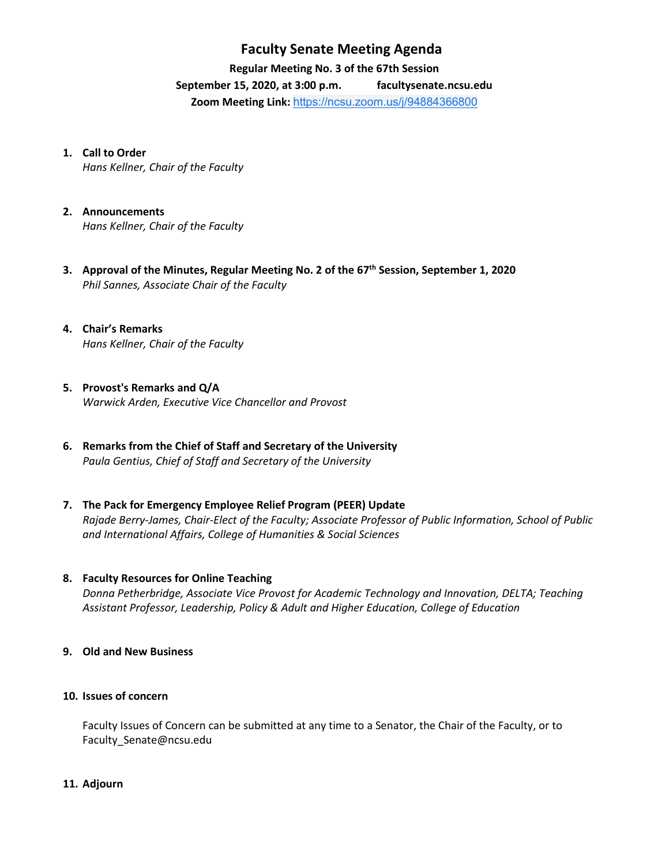## **Faculty Senate Meeting Agenda**

**Regular Meeting No. 3 of the 67th Session**

**September 15, 2020, at 3:00 p.m. [facultysenate.ncsu.edu](https://facultysenate.ncsu.edu/) Zoom Meeting Link:** [https://ncsu.zoom.us/j/94884366800](https://www.google.com/url?q=https://ncsu.zoom.us/j/94884366800&sa=D&source=calendar&ust=1600047968371000&usg=AOvVaw0VErgqGxzADzNJbL0jxRz5)

### **1. Call to Order**

*Hans Kellner, Chair of the Faculty*

- **2. Announcements** *Hans Kellner, Chair of the Faculty*
- **3. Approval of the Minutes, Regular Meeting No. 2 of the 67th Session, September 1, 2020** *Phil Sannes, Associate Chair of the Faculty*
- **4. Chair's Remarks** *Hans Kellner, Chair of the Faculty*
- **5. Provost's Remarks and Q/A** *Warwick Arden, Executive Vice Chancellor and Provost*
- **6. Remarks from the Chief of Staff and Secretary of the University** *Paula Gentius, Chief of Staff and Secretary of the University*
- **7. The Pack for Emergency Employee Relief Program (PEER) Update** *Rajade Berry-James, Chair-Elect of the Faculty; Associate Professor of Public Information, School of Public and International Affairs, College of Humanities & Social Sciences*

### **8. Faculty Resources for Online Teaching**

*Donna Petherbridge, Associate Vice Provost for Academic Technology and Innovation, DELTA; Teaching Assistant Professor, Leadership, Policy & Adult and Higher Education, College of Education*

**9. Old and New Business** 

#### **10. Issues of concern**

Faculty Issues of Concern can be submitted at any time to a Senator, the Chair of the Faculty, or to [Faculty\\_Senate@ncsu.edu](mailto:Faculty_Senate@ncsu.edu)

**11. Adjourn**